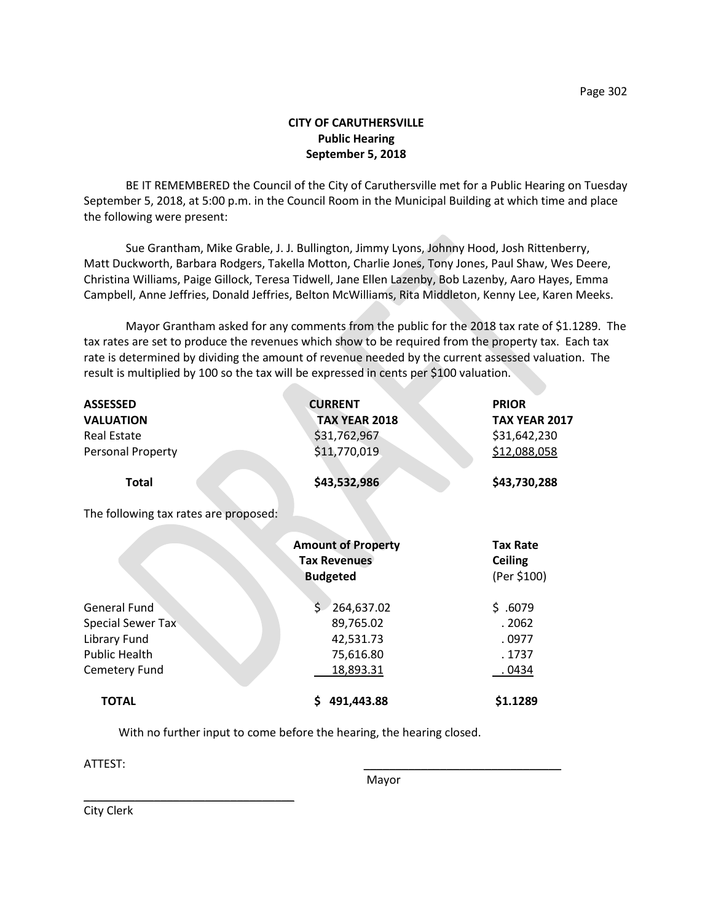## **CITY OF CARUTHERSVILLE Public Hearing September 5, 2018**

BE IT REMEMBERED the Council of the City of Caruthersville met for a Public Hearing on Tuesday September 5, 2018, at 5:00 p.m. in the Council Room in the Municipal Building at which time and place the following were present:

Sue Grantham, Mike Grable, J. J. Bullington, Jimmy Lyons, Johnny Hood, Josh Rittenberry, Matt Duckworth, Barbara Rodgers, Takella Motton, Charlie Jones, Tony Jones, Paul Shaw, Wes Deere, Christina Williams, Paige Gillock, Teresa Tidwell, Jane Ellen Lazenby, Bob Lazenby, Aaro Hayes, Emma Campbell, Anne Jeffries, Donald Jeffries, Belton McWilliams, Rita Middleton, Kenny Lee, Karen Meeks.

Mayor Grantham asked for any comments from the public for the 2018 tax rate of \$1.1289. The tax rates are set to produce the revenues which show to be required from the property tax. Each tax rate is determined by dividing the amount of revenue needed by the current assessed valuation. The result is multiplied by 100 so the tax will be expressed in cents per \$100 valuation.

| <b>ASSESSED</b><br><b>VALUATION</b><br><b>Real Estate</b><br>Personal Property<br><b>Total</b> | <b>CURRENT</b><br><b>TAX YEAR 2018</b><br>\$31,762,967<br>\$11,770,019<br>\$43,532,986 | <b>PRIOR</b><br><b>TAX YEAR 2017</b><br>\$31,642,230<br>\$12,088,058<br>\$43,730,288 |
|------------------------------------------------------------------------------------------------|----------------------------------------------------------------------------------------|--------------------------------------------------------------------------------------|
|                                                                                                |                                                                                        |                                                                                      |
| The following tax rates are proposed:                                                          |                                                                                        |                                                                                      |
|                                                                                                | <b>Amount of Property</b><br><b>Tax Revenues</b><br><b>Budgeted</b>                    | <b>Tax Rate</b><br><b>Ceiling</b><br>(Per \$100)                                     |
| <b>General Fund</b>                                                                            | Ś.<br>264,637.02                                                                       | \$.6079                                                                              |
| <b>Special Sewer Tax</b>                                                                       | 89,765.02                                                                              | . 2062                                                                               |
| Library Fund                                                                                   | 42,531.73                                                                              | . 0977                                                                               |
| <b>Public Health</b>                                                                           | 75,616.80                                                                              | . 1737                                                                               |
| Cemetery Fund                                                                                  | 18,893.31                                                                              | .0434                                                                                |
| <b>TOTAL</b>                                                                                   | 491,443.88<br>S                                                                        | \$1.1289                                                                             |

With no further input to come before the hearing, the hearing closed.

ATTEST: \_\_\_\_\_\_\_\_\_\_\_\_\_\_\_\_\_\_\_\_\_\_\_\_\_\_\_\_\_\_\_

Mayor

City Clerk

\_\_\_\_\_\_\_\_\_\_\_\_\_\_\_\_\_\_\_\_\_\_\_\_\_\_\_\_\_\_\_\_\_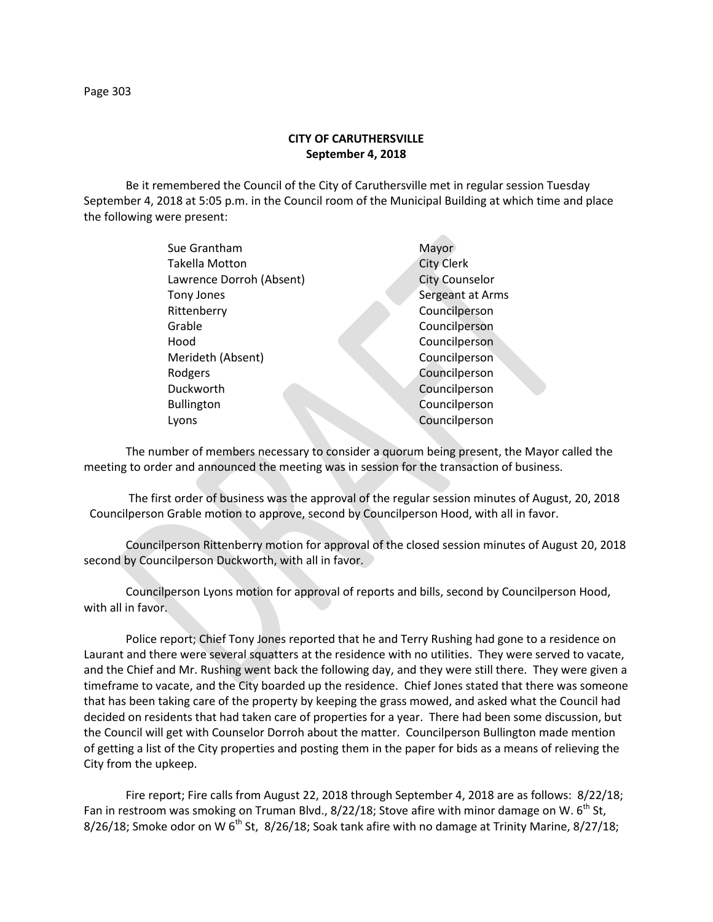Be it remembered the Council of the City of Caruthersville met in regular session Tuesday September 4, 2018 at 5:05 p.m. in the Council room of the Municipal Building at which time and place the following were present:

| Sue Grantham             | Mayor                 |
|--------------------------|-----------------------|
| <b>Takella Motton</b>    | <b>City Clerk</b>     |
| Lawrence Dorroh (Absent) | <b>City Counselor</b> |
| Tony Jones               | Sergeant at Arms      |
| Rittenberry              | Councilperson         |
| Grable                   | Councilperson         |
| Hood                     | Councilperson         |
| Merideth (Absent)        | Councilperson         |
| Rodgers                  | Councilperson         |
| Duckworth                | Councilperson         |
| <b>Bullington</b>        | Councilperson         |
| Lyons                    | Councilperson         |
|                          |                       |

The number of members necessary to consider a quorum being present, the Mayor called the meeting to order and announced the meeting was in session for the transaction of business.

The first order of business was the approval of the regular session minutes of August, 20, 2018 Councilperson Grable motion to approve, second by Councilperson Hood, with all in favor.

Councilperson Rittenberry motion for approval of the closed session minutes of August 20, 2018 second by Councilperson Duckworth, with all in favor.

Councilperson Lyons motion for approval of reports and bills, second by Councilperson Hood, with all in favor.

Police report; Chief Tony Jones reported that he and Terry Rushing had gone to a residence on Laurant and there were several squatters at the residence with no utilities. They were served to vacate, and the Chief and Mr. Rushing went back the following day, and they were still there. They were given a timeframe to vacate, and the City boarded up the residence. Chief Jones stated that there was someone that has been taking care of the property by keeping the grass mowed, and asked what the Council had decided on residents that had taken care of properties for a year. There had been some discussion, but the Council will get with Counselor Dorroh about the matter. Councilperson Bullington made mention of getting a list of the City properties and posting them in the paper for bids as a means of relieving the City from the upkeep.

Fire report; Fire calls from August 22, 2018 through September 4, 2018 are as follows: 8/22/18; Fan in restroom was smoking on Truman Blvd.,  $8/22/18$ ; Stove afire with minor damage on W. 6<sup>th</sup> St, 8/26/18; Smoke odor on W  $6<sup>th</sup>$  St, 8/26/18; Soak tank afire with no damage at Trinity Marine, 8/27/18;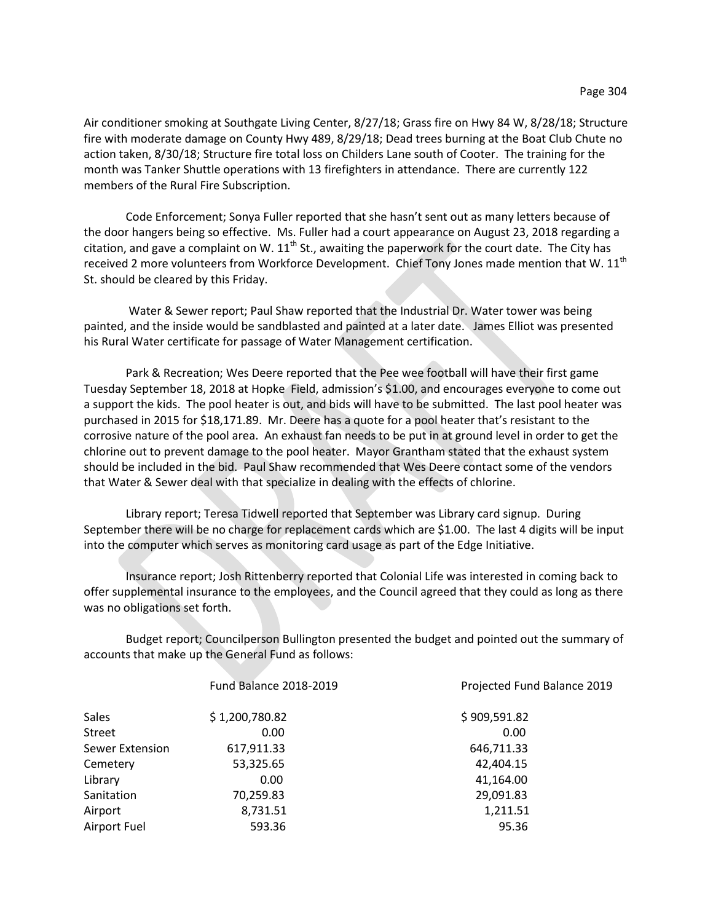Air conditioner smoking at Southgate Living Center, 8/27/18; Grass fire on Hwy 84 W, 8/28/18; Structure fire with moderate damage on County Hwy 489, 8/29/18; Dead trees burning at the Boat Club Chute no action taken, 8/30/18; Structure fire total loss on Childers Lane south of Cooter. The training for the month was Tanker Shuttle operations with 13 firefighters in attendance. There are currently 122 members of the Rural Fire Subscription.

Code Enforcement; Sonya Fuller reported that she hasn't sent out as many letters because of the door hangers being so effective. Ms. Fuller had a court appearance on August 23, 2018 regarding a citation, and gave a complaint on W.  $11<sup>th</sup>$  St., awaiting the paperwork for the court date. The City has received 2 more volunteers from Workforce Development. Chief Tony Jones made mention that W. 11<sup>th</sup> St. should be cleared by this Friday.

Water & Sewer report; Paul Shaw reported that the Industrial Dr. Water tower was being painted, and the inside would be sandblasted and painted at a later date. James Elliot was presented his Rural Water certificate for passage of Water Management certification.

Park & Recreation; Wes Deere reported that the Pee wee football will have their first game Tuesday September 18, 2018 at Hopke Field, admission's \$1.00, and encourages everyone to come out a support the kids. The pool heater is out, and bids will have to be submitted. The last pool heater was purchased in 2015 for \$18,171.89. Mr. Deere has a quote for a pool heater that's resistant to the corrosive nature of the pool area. An exhaust fan needs to be put in at ground level in order to get the chlorine out to prevent damage to the pool heater. Mayor Grantham stated that the exhaust system should be included in the bid. Paul Shaw recommended that Wes Deere contact some of the vendors that Water & Sewer deal with that specialize in dealing with the effects of chlorine.

Library report; Teresa Tidwell reported that September was Library card signup. During September there will be no charge for replacement cards which are \$1.00. The last 4 digits will be input into the computer which serves as monitoring card usage as part of the Edge Initiative.

Insurance report; Josh Rittenberry reported that Colonial Life was interested in coming back to offer supplemental insurance to the employees, and the Council agreed that they could as long as there was no obligations set forth.

Budget report; Councilperson Bullington presented the budget and pointed out the summary of accounts that make up the General Fund as follows:

|                 | <b>Fund Balance 2018-2019</b> | Projected Fund Balance 2019 |
|-----------------|-------------------------------|-----------------------------|
| Sales           | \$1,200,780.82                | \$909,591.82                |
| Street          | 0.00                          | 0.00                        |
| Sewer Extension | 617,911.33                    | 646,711.33                  |
| Cemetery        | 53,325.65                     | 42,404.15                   |
| Library         | 0.00                          | 41,164.00                   |
| Sanitation      | 70,259.83                     | 29,091.83                   |
| Airport         | 8,731.51                      | 1,211.51                    |
| Airport Fuel    | 593.36                        | 95.36                       |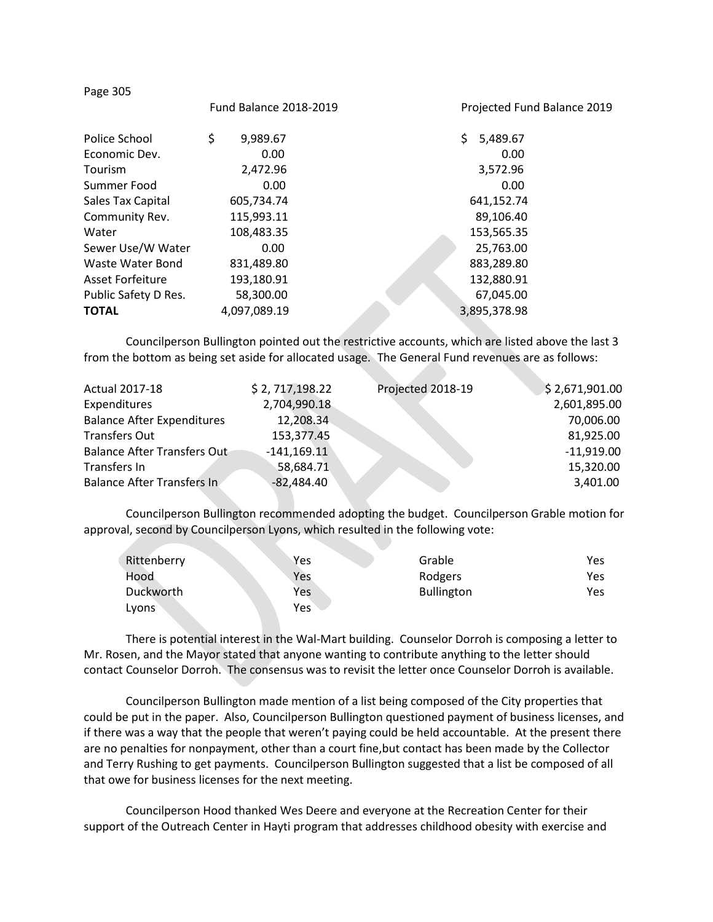| <b>Fund Balance 2018-2019</b> | Projected Fund Balance 2019 |
|-------------------------------|-----------------------------|
| \$<br>9,989.67                | \$.<br>5,489.67             |
| 0.00                          | 0.00                        |
| 2,472.96                      | 3,572.96                    |
| 0.00                          | 0.00                        |
| 605,734.74                    | 641,152.74                  |
| 115,993.11                    | 89,106.40                   |
| 108,483.35                    | 153,565.35                  |
| 0.00                          | 25,763.00                   |
| 831,489.80                    | 883,289.80                  |
| 193,180.91                    | 132,880.91                  |
| 58,300.00                     | 67,045.00                   |
| 4,097,089.19                  | 3,895,378.98                |
|                               |                             |

Councilperson Bullington pointed out the restrictive accounts, which are listed above the last 3 from the bottom as being set aside for allocated usage. The General Fund revenues are as follows:

| <b>Actual 2017-18</b>             | \$2, 717, 198.22 | Projected 2018-19 | \$2,671,901.00 |
|-----------------------------------|------------------|-------------------|----------------|
| Expenditures                      | 2,704,990.18     |                   | 2,601,895.00   |
| <b>Balance After Expenditures</b> | 12,208.34        |                   | 70,006.00      |
| <b>Transfers Out</b>              | 153,377.45       |                   | 81,925.00      |
| Balance After Transfers Out       | $-141,169.11$    |                   | $-11,919.00$   |
| Transfers In                      | 58,684.71        |                   | 15,320.00      |
| <b>Balance After Transfers In</b> | $-82,484.40$     |                   | 3,401.00       |

Councilperson Bullington recommended adopting the budget. Councilperson Grable motion for approval, second by Councilperson Lyons, which resulted in the following vote:

| Rittenberry | Yes | Grable            | Yes |
|-------------|-----|-------------------|-----|
| Hood        | Yes | Rodgers           | Yes |
| Duckworth   | Yes | <b>Bullington</b> | Yes |
| Lyons       | Yes |                   |     |

There is potential interest in the Wal-Mart building. Counselor Dorroh is composing a letter to Mr. Rosen, and the Mayor stated that anyone wanting to contribute anything to the letter should contact Counselor Dorroh. The consensus was to revisit the letter once Counselor Dorroh is available.

Councilperson Bullington made mention of a list being composed of the City properties that could be put in the paper. Also, Councilperson Bullington questioned payment of business licenses, and if there was a way that the people that weren't paying could be held accountable. At the present there are no penalties for nonpayment, other than a court fine,but contact has been made by the Collector and Terry Rushing to get payments. Councilperson Bullington suggested that a list be composed of all that owe for business licenses for the next meeting.

Councilperson Hood thanked Wes Deere and everyone at the Recreation Center for their support of the Outreach Center in Hayti program that addresses childhood obesity with exercise and